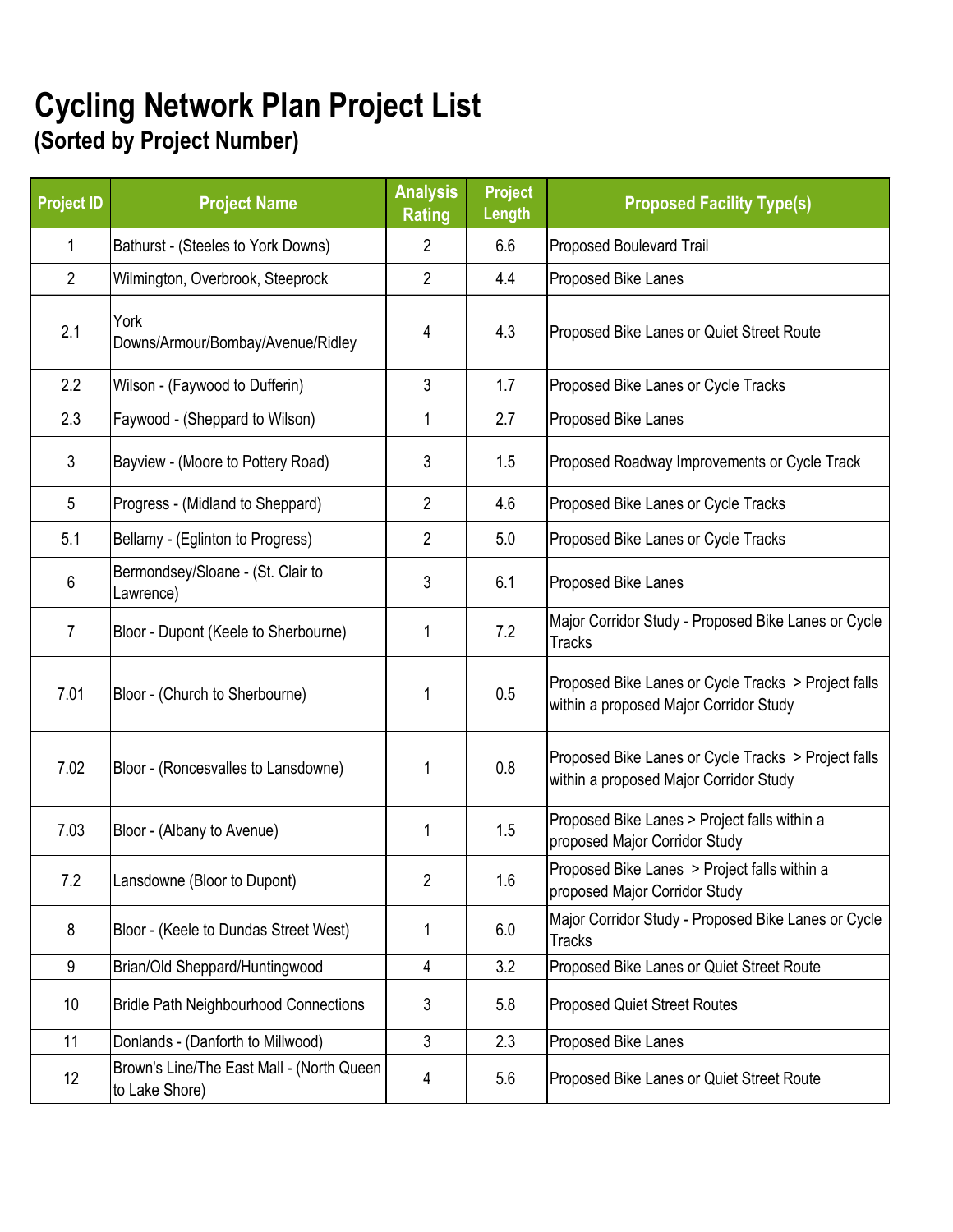## **Cycling Network Plan Project List (Sorted by Project Number)**

| <b>Project ID</b> | <b>Project Name</b>                                         | <b>Analysis</b><br><b>Rating</b> | <b>Project</b><br><b>Length</b> | <b>Proposed Facility Type(s)</b>                                                              |
|-------------------|-------------------------------------------------------------|----------------------------------|---------------------------------|-----------------------------------------------------------------------------------------------|
| 1                 | Bathurst - (Steeles to York Downs)                          | $\overline{2}$                   | 6.6                             | Proposed Boulevard Trail                                                                      |
| $\overline{2}$    | Wilmington, Overbrook, Steeprock                            | 2                                | 4.4                             | Proposed Bike Lanes                                                                           |
| 2.1               | York<br>Downs/Armour/Bombay/Avenue/Ridley                   | 4                                | 4.3                             | Proposed Bike Lanes or Quiet Street Route                                                     |
| 2.2               | Wilson - (Faywood to Dufferin)                              | 3                                | 1.7                             | Proposed Bike Lanes or Cycle Tracks                                                           |
| 2.3               | Faywood - (Sheppard to Wilson)                              | 1                                | 2.7                             | Proposed Bike Lanes                                                                           |
| 3                 | Bayview - (Moore to Pottery Road)                           | 3                                | 1.5                             | Proposed Roadway Improvements or Cycle Track                                                  |
| 5                 | Progress - (Midland to Sheppard)                            | $\overline{2}$                   | 4.6                             | Proposed Bike Lanes or Cycle Tracks                                                           |
| 5.1               | Bellamy - (Eglinton to Progress)                            | $\overline{2}$                   | 5.0                             | Proposed Bike Lanes or Cycle Tracks                                                           |
| 6                 | Bermondsey/Sloane - (St. Clair to<br>Lawrence)              | 3                                | 6.1                             | Proposed Bike Lanes                                                                           |
| $\overline{7}$    | Bloor - Dupont (Keele to Sherbourne)                        | 1                                | 7.2                             | Major Corridor Study - Proposed Bike Lanes or Cycle<br><b>Tracks</b>                          |
| 7.01              | Bloor - (Church to Sherbourne)                              | 1                                | 0.5                             | Proposed Bike Lanes or Cycle Tracks > Project falls<br>within a proposed Major Corridor Study |
| 7.02              | Bloor - (Roncesvalles to Lansdowne)                         | 1                                | 0.8                             | Proposed Bike Lanes or Cycle Tracks > Project falls<br>within a proposed Major Corridor Study |
| 7.03              | Bloor - (Albany to Avenue)                                  | 1                                | 1.5                             | Proposed Bike Lanes > Project falls within a<br>proposed Major Corridor Study                 |
| 7.2               | Lansdowne (Bloor to Dupont)                                 | $\overline{2}$                   | 1.6                             | Proposed Bike Lanes > Project falls within a<br>proposed Major Corridor Study                 |
| 8                 | Bloor - (Keele to Dundas Street West)                       | 1                                | 6.0                             | Major Corridor Study - Proposed Bike Lanes or Cycle<br><b>Tracks</b>                          |
| 9                 | Brian/Old Sheppard/Huntingwood                              | 4                                | 3.2                             | Proposed Bike Lanes or Quiet Street Route                                                     |
| 10 <sup>°</sup>   | <b>Bridle Path Neighbourhood Connections</b>                | 3                                | 5.8                             | <b>Proposed Quiet Street Routes</b>                                                           |
| 11                | Donlands - (Danforth to Millwood)                           | 3                                | 2.3                             | Proposed Bike Lanes                                                                           |
| 12 <sup>°</sup>   | Brown's Line/The East Mall - (North Queen<br>to Lake Shore) | 4                                | 5.6                             | Proposed Bike Lanes or Quiet Street Route                                                     |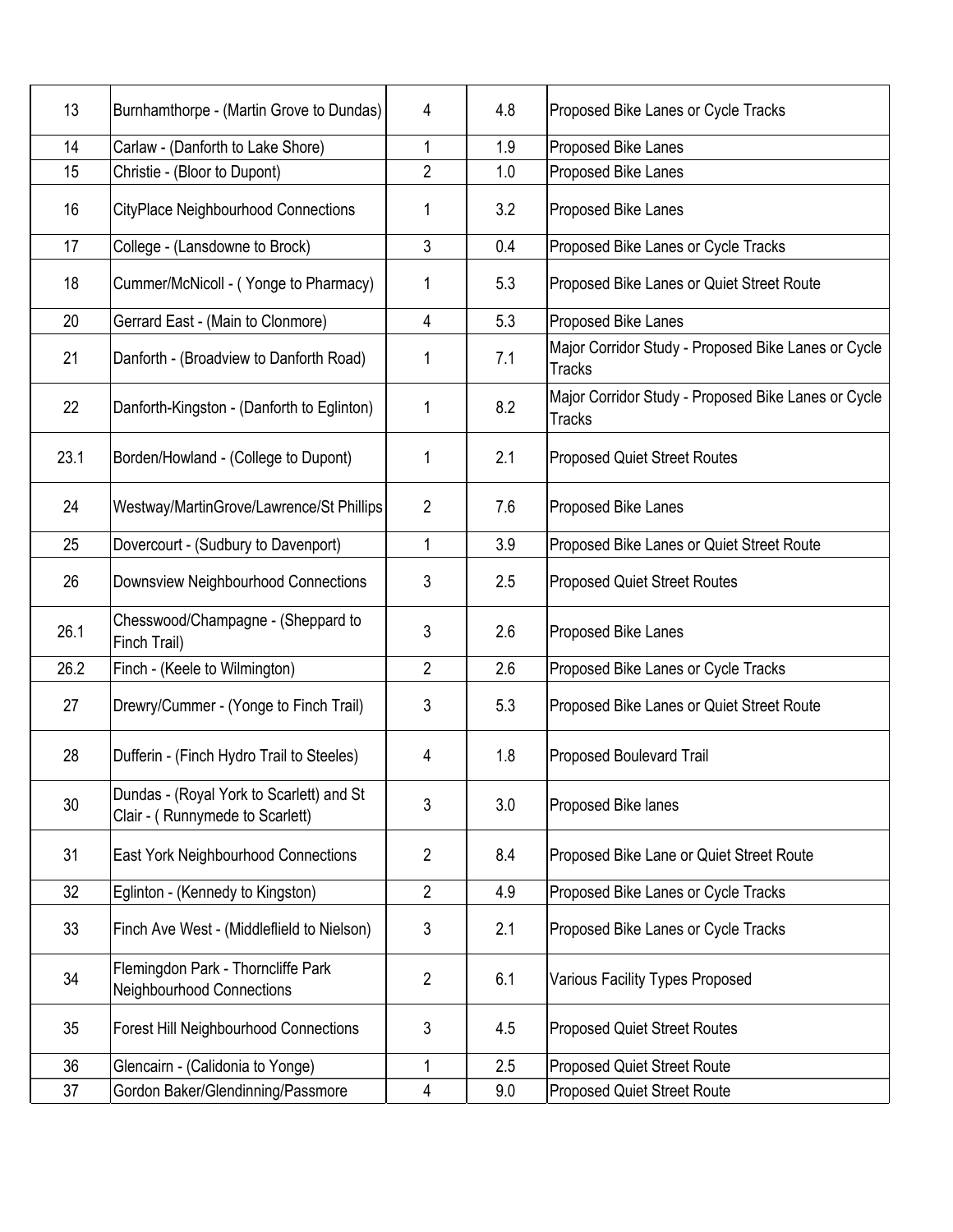| 13   | Burnhamthorpe - (Martin Grove to Dundas)                                    | 4              | 4.8 | Proposed Bike Lanes or Cycle Tracks                                  |
|------|-----------------------------------------------------------------------------|----------------|-----|----------------------------------------------------------------------|
| 14   | Carlaw - (Danforth to Lake Shore)                                           | 1              | 1.9 | Proposed Bike Lanes                                                  |
| 15   | Christie - (Bloor to Dupont)                                                | 2              | 1.0 | Proposed Bike Lanes                                                  |
| 16   | <b>CityPlace Neighbourhood Connections</b>                                  | 1              | 3.2 | Proposed Bike Lanes                                                  |
| 17   | College - (Lansdowne to Brock)                                              | 3              | 0.4 | Proposed Bike Lanes or Cycle Tracks                                  |
| 18   | Cummer/McNicoll - (Yonge to Pharmacy)                                       | 1              | 5.3 | Proposed Bike Lanes or Quiet Street Route                            |
| 20   | Gerrard East - (Main to Clonmore)                                           | 4              | 5.3 | Proposed Bike Lanes                                                  |
| 21   | Danforth - (Broadview to Danforth Road)                                     | 1              | 7.1 | Major Corridor Study - Proposed Bike Lanes or Cycle<br><b>Tracks</b> |
| 22   | Danforth-Kingston - (Danforth to Eglinton)                                  | 1              | 8.2 | Major Corridor Study - Proposed Bike Lanes or Cycle<br><b>Tracks</b> |
| 23.1 | Borden/Howland - (College to Dupont)                                        | 1              | 2.1 | <b>Proposed Quiet Street Routes</b>                                  |
| 24   | Westway/MartinGrove/Lawrence/St Phillips                                    | $\overline{2}$ | 7.6 | Proposed Bike Lanes                                                  |
| 25   | Dovercourt - (Sudbury to Davenport)                                         | 1              | 3.9 | Proposed Bike Lanes or Quiet Street Route                            |
| 26   | Downsview Neighbourhood Connections                                         | 3              | 2.5 | <b>Proposed Quiet Street Routes</b>                                  |
| 26.1 | Chesswood/Champagne - (Sheppard to<br>Finch Trail)                          | 3              | 2.6 | Proposed Bike Lanes                                                  |
| 26.2 | Finch - (Keele to Wilmington)                                               | $\overline{2}$ | 2.6 | Proposed Bike Lanes or Cycle Tracks                                  |
| 27   | Drewry/Cummer - (Yonge to Finch Trail)                                      | 3              | 5.3 | Proposed Bike Lanes or Quiet Street Route                            |
| 28   | Dufferin - (Finch Hydro Trail to Steeles)                                   | 4              | 1.8 | Proposed Boulevard Trail                                             |
| 30   | Dundas - (Royal York to Scarlett) and St<br>Clair - (Runnymede to Scarlett) | 3              | 3.0 | Proposed Bike lanes                                                  |
| 31   | East York Neighbourhood Connections                                         | $\overline{2}$ | 8.4 | Proposed Bike Lane or Quiet Street Route                             |
| 32   | Eglinton - (Kennedy to Kingston)                                            | $\overline{2}$ | 4.9 | Proposed Bike Lanes or Cycle Tracks                                  |
| 33   | Finch Ave West - (Middleflield to Nielson)                                  | 3              | 2.1 | Proposed Bike Lanes or Cycle Tracks                                  |
| 34   | Flemingdon Park - Thorncliffe Park<br>Neighbourhood Connections             | $\overline{2}$ | 6.1 | Various Facility Types Proposed                                      |
| 35   | <b>Forest Hill Neighbourhood Connections</b>                                | 3              | 4.5 | <b>Proposed Quiet Street Routes</b>                                  |
| 36   | Glencairn - (Calidonia to Yonge)                                            | 1              | 2.5 | <b>Proposed Quiet Street Route</b>                                   |
| 37   | Gordon Baker/Glendinning/Passmore                                           | 4              | 9.0 | Proposed Quiet Street Route                                          |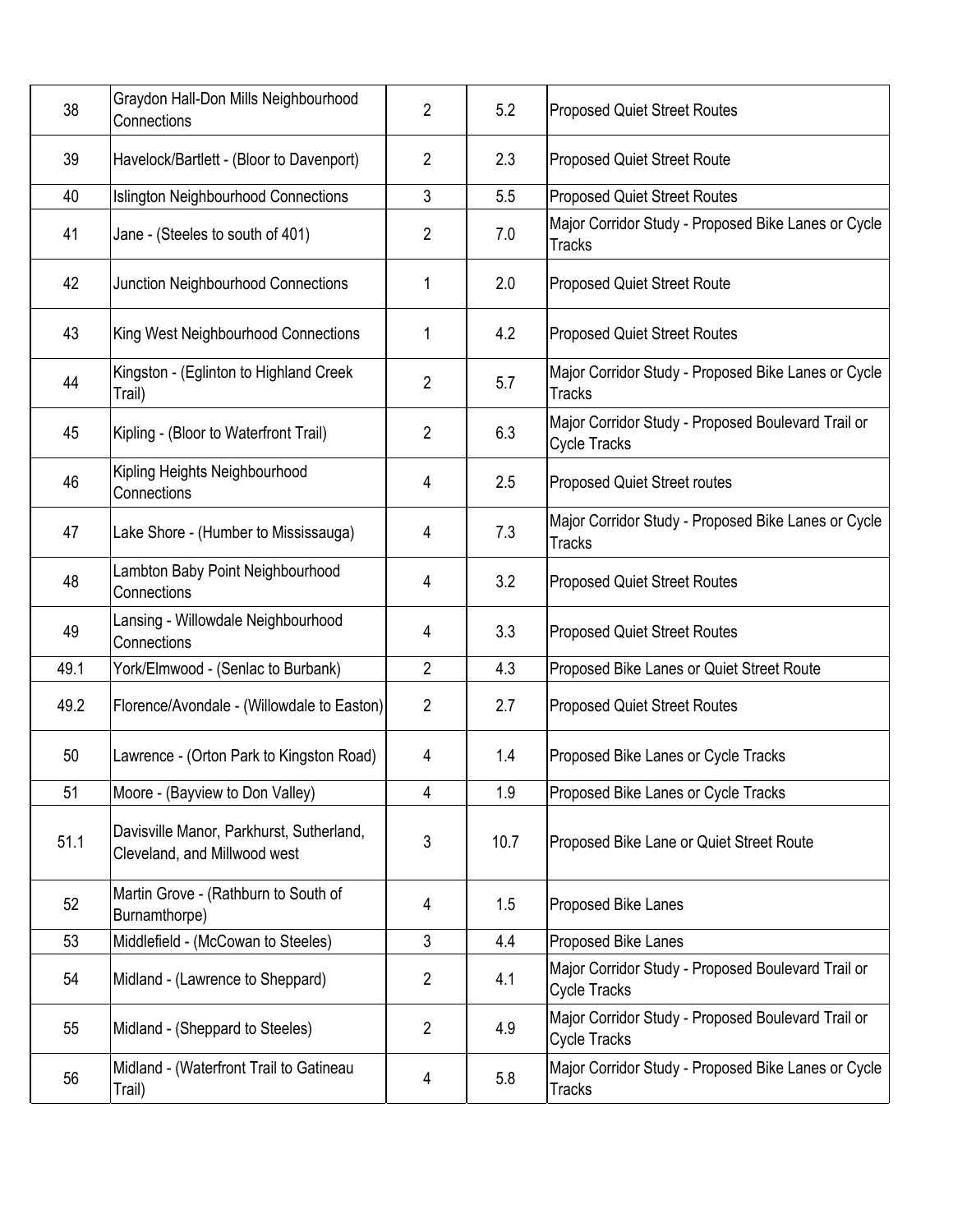| 38   | Graydon Hall-Don Mills Neighbourhood<br>Connections                      | $\overline{2}$ | 5.2  | <b>Proposed Quiet Street Routes</b>                                       |
|------|--------------------------------------------------------------------------|----------------|------|---------------------------------------------------------------------------|
| 39   | Havelock/Bartlett - (Bloor to Davenport)                                 | 2              | 2.3  | <b>Proposed Quiet Street Route</b>                                        |
| 40   | <b>Islington Neighbourhood Connections</b>                               | 3              | 5.5  | <b>Proposed Quiet Street Routes</b>                                       |
| 41   | Jane - (Steeles to south of 401)                                         | 2              | 7.0  | Major Corridor Study - Proposed Bike Lanes or Cycle<br><b>Tracks</b>      |
| 42   | Junction Neighbourhood Connections                                       | 1              | 2.0  | <b>Proposed Quiet Street Route</b>                                        |
| 43   | King West Neighbourhood Connections                                      | 1              | 4.2  | <b>Proposed Quiet Street Routes</b>                                       |
| 44   | Kingston - (Eglinton to Highland Creek<br>Trail)                         | 2              | 5.7  | Major Corridor Study - Proposed Bike Lanes or Cycle<br><b>Tracks</b>      |
| 45   | Kipling - (Bloor to Waterfront Trail)                                    | 2              | 6.3  | Major Corridor Study - Proposed Boulevard Trail or<br><b>Cycle Tracks</b> |
| 46   | Kipling Heights Neighbourhood<br>Connections                             | 4              | 2.5  | <b>Proposed Quiet Street routes</b>                                       |
| 47   | Lake Shore - (Humber to Mississauga)                                     | 4              | 7.3  | Major Corridor Study - Proposed Bike Lanes or Cycle<br><b>Tracks</b>      |
| 48   | Lambton Baby Point Neighbourhood<br>Connections                          | 4              | 3.2  | <b>Proposed Quiet Street Routes</b>                                       |
| 49   | Lansing - Willowdale Neighbourhood<br>Connections                        | 4              | 3.3  | <b>Proposed Quiet Street Routes</b>                                       |
| 49.1 | York/Elmwood - (Senlac to Burbank)                                       | $\overline{2}$ | 4.3  | Proposed Bike Lanes or Quiet Street Route                                 |
| 49.2 | Florence/Avondale - (Willowdale to Easton)                               | $\overline{2}$ | 2.7  | <b>Proposed Quiet Street Routes</b>                                       |
| 50   | Lawrence - (Orton Park to Kingston Road)                                 | 4              | 1.4  | Proposed Bike Lanes or Cycle Tracks                                       |
| 51   | Moore - (Bayview to Don Valley)                                          | 4              | 1.9  | Proposed Bike Lanes or Cycle Tracks                                       |
| 51.1 | Davisville Manor, Parkhurst, Sutherland,<br>Cleveland, and Millwood west | 3              | 10.7 | Proposed Bike Lane or Quiet Street Route                                  |
| 52   | Martin Grove - (Rathburn to South of<br>Burnamthorpe)                    | 4              | 1.5  | Proposed Bike Lanes                                                       |
| 53   | Middlefield - (McCowan to Steeles)                                       | 3              | 4.4  | Proposed Bike Lanes                                                       |
| 54   | Midland - (Lawrence to Sheppard)                                         | $\overline{2}$ | 4.1  | Major Corridor Study - Proposed Boulevard Trail or<br>Cycle Tracks        |
| 55   | Midland - (Sheppard to Steeles)                                          | 2              | 4.9  | Major Corridor Study - Proposed Boulevard Trail or<br>Cycle Tracks        |
| 56   | Midland - (Waterfront Trail to Gatineau<br>Trail)                        | 4              | 5.8  | Major Corridor Study - Proposed Bike Lanes or Cycle<br><b>Tracks</b>      |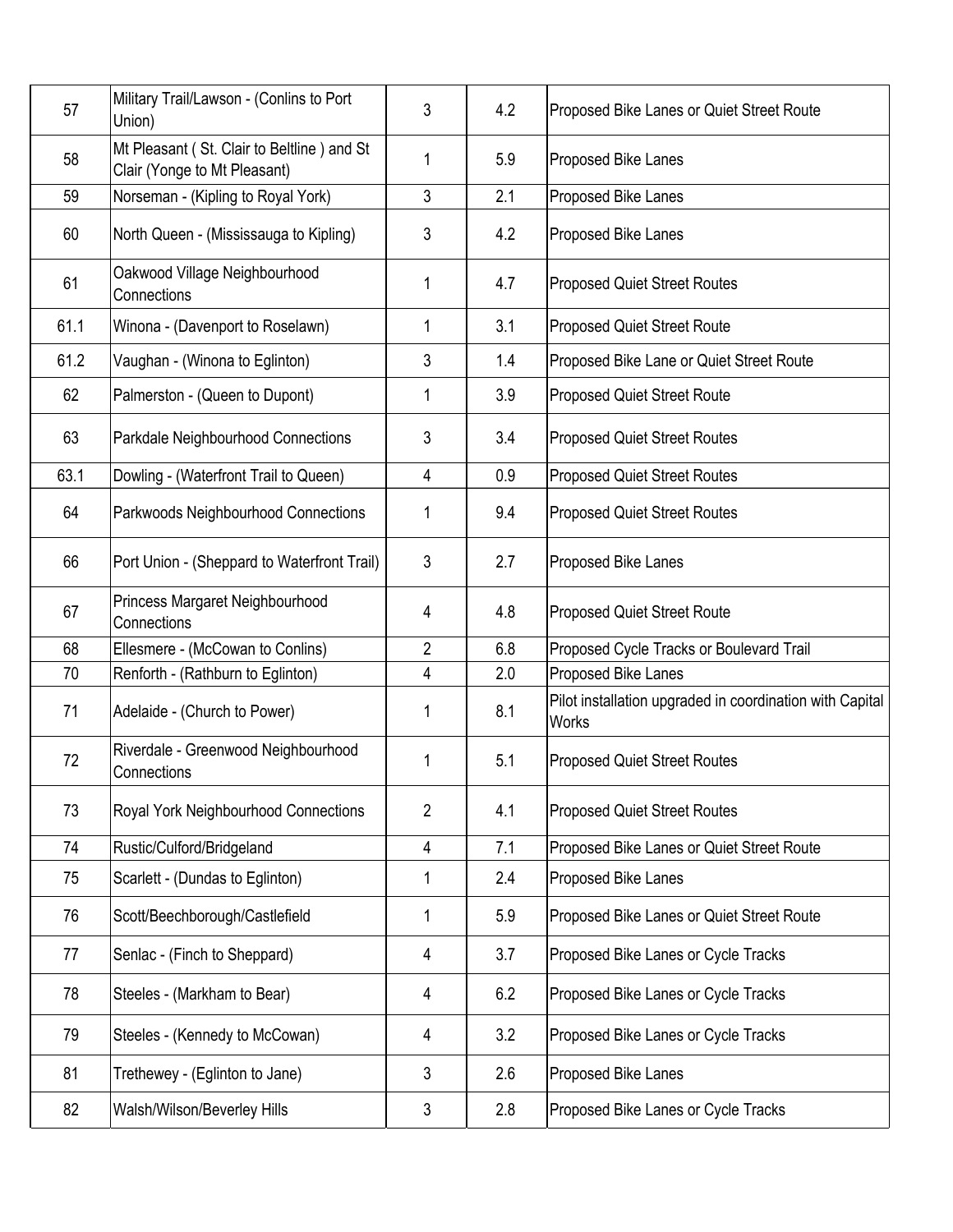| 57   | Military Trail/Lawson - (Conlins to Port<br>Union)                         | 3              | 4.2 | Proposed Bike Lanes or Quiet Street Route                                |
|------|----------------------------------------------------------------------------|----------------|-----|--------------------------------------------------------------------------|
| 58   | Mt Pleasant (St. Clair to Beltline) and St<br>Clair (Yonge to Mt Pleasant) | 1              | 5.9 | Proposed Bike Lanes                                                      |
| 59   | Norseman - (Kipling to Royal York)                                         | 3              | 2.1 | Proposed Bike Lanes                                                      |
| 60   | North Queen - (Mississauga to Kipling)                                     | 3              | 4.2 | Proposed Bike Lanes                                                      |
| 61   | Oakwood Village Neighbourhood<br>Connections                               | 1              | 4.7 | <b>Proposed Quiet Street Routes</b>                                      |
| 61.1 | Winona - (Davenport to Roselawn)                                           | 1              | 3.1 | <b>Proposed Quiet Street Route</b>                                       |
| 61.2 | Vaughan - (Winona to Eglinton)                                             | 3              | 1.4 | Proposed Bike Lane or Quiet Street Route                                 |
| 62   | Palmerston - (Queen to Dupont)                                             | 1              | 3.9 | <b>Proposed Quiet Street Route</b>                                       |
| 63   | Parkdale Neighbourhood Connections                                         | 3              | 3.4 | <b>Proposed Quiet Street Routes</b>                                      |
| 63.1 | Dowling - (Waterfront Trail to Queen)                                      | 4              | 0.9 | <b>Proposed Quiet Street Routes</b>                                      |
| 64   | Parkwoods Neighbourhood Connections                                        | 1              | 9.4 | <b>Proposed Quiet Street Routes</b>                                      |
| 66   | Port Union - (Sheppard to Waterfront Trail)                                | 3              | 2.7 | Proposed Bike Lanes                                                      |
| 67   | Princess Margaret Neighbourhood<br>Connections                             | 4              | 4.8 | <b>Proposed Quiet Street Route</b>                                       |
| 68   | Ellesmere - (McCowan to Conlins)                                           | 2              | 6.8 | Proposed Cycle Tracks or Boulevard Trail                                 |
| 70   | Renforth - (Rathburn to Eglinton)                                          | 4              | 2.0 | Proposed Bike Lanes                                                      |
| 71   | Adelaide - (Church to Power)                                               | 1              | 8.1 | Pilot installation upgraded in coordination with Capital<br><b>Works</b> |
| 72   | Riverdale - Greenwood Neighbourhood<br>Connections                         | 1              | 5.1 | <b>Proposed Quiet Street Routes</b>                                      |
| 73   | Royal York Neighbourhood Connections                                       | $\overline{2}$ | 4.1 | <b>Proposed Quiet Street Routes</b>                                      |
| 74   | Rustic/Culford/Bridgeland                                                  | $\overline{4}$ | 7.1 | Proposed Bike Lanes or Quiet Street Route                                |
| 75   | Scarlett - (Dundas to Eglinton)                                            | 1              | 2.4 | Proposed Bike Lanes                                                      |
| 76   | Scott/Beechborough/Castlefield                                             | 1              | 5.9 | Proposed Bike Lanes or Quiet Street Route                                |
| 77   | Senlac - (Finch to Sheppard)                                               | 4              | 3.7 | Proposed Bike Lanes or Cycle Tracks                                      |
| 78   | Steeles - (Markham to Bear)                                                | 4              | 6.2 | Proposed Bike Lanes or Cycle Tracks                                      |
| 79   | Steeles - (Kennedy to McCowan)                                             | 4              | 3.2 | Proposed Bike Lanes or Cycle Tracks                                      |
| 81   | Trethewey - (Eglinton to Jane)                                             | 3              | 2.6 | Proposed Bike Lanes                                                      |
| 82   | Walsh/Wilson/Beverley Hills                                                | 3              | 2.8 | Proposed Bike Lanes or Cycle Tracks                                      |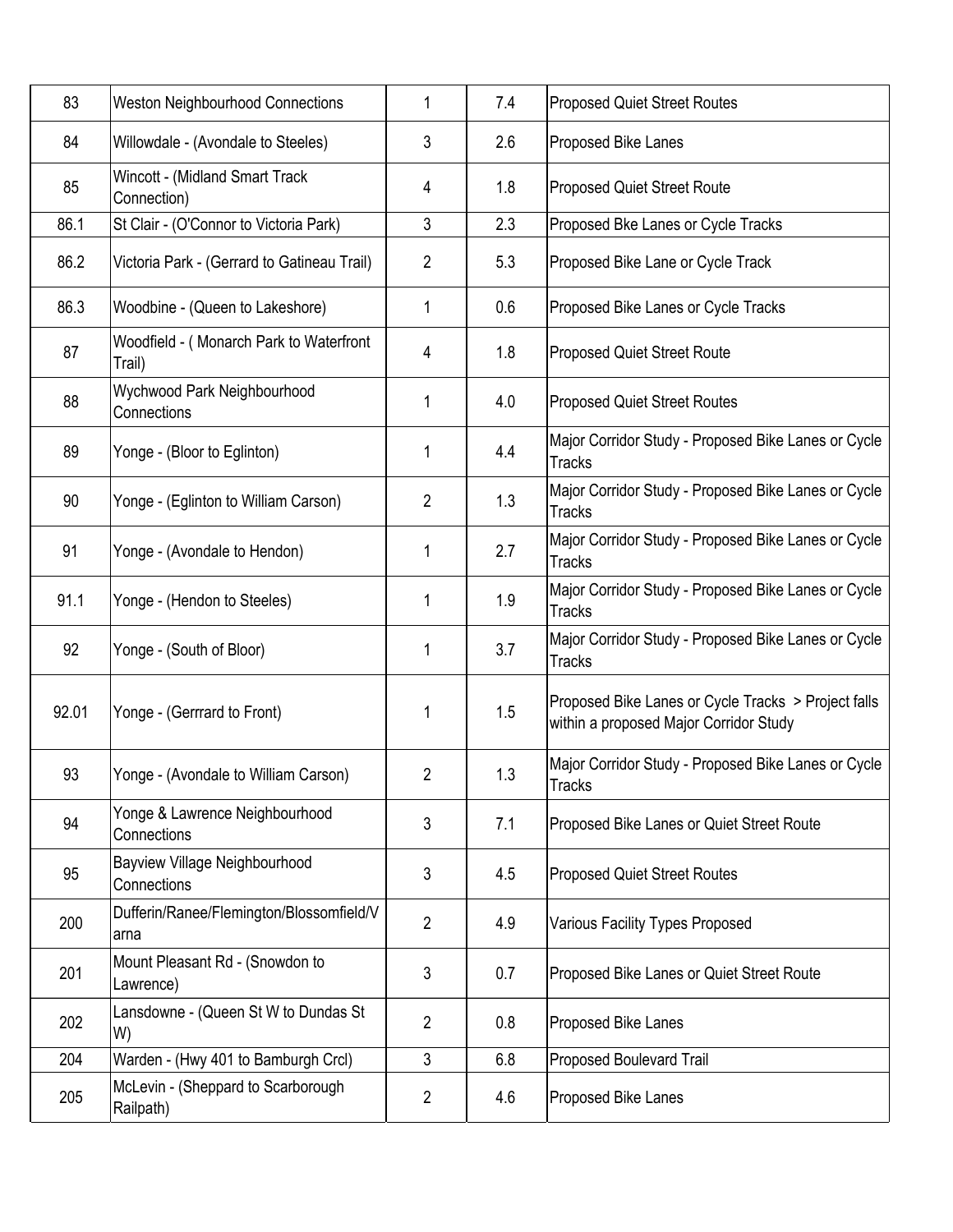| 83    | <b>Weston Neighbourhood Connections</b>           | 1              | 7.4 | <b>Proposed Quiet Street Routes</b>                                                           |
|-------|---------------------------------------------------|----------------|-----|-----------------------------------------------------------------------------------------------|
| 84    | Willowdale - (Avondale to Steeles)                | 3              | 2.6 | Proposed Bike Lanes                                                                           |
| 85    | Wincott - (Midland Smart Track<br>Connection)     | 4              | 1.8 | <b>Proposed Quiet Street Route</b>                                                            |
| 86.1  | St Clair - (O'Connor to Victoria Park)            | 3              | 2.3 | Proposed Bke Lanes or Cycle Tracks                                                            |
| 86.2  | Victoria Park - (Gerrard to Gatineau Trail)       | $\overline{2}$ | 5.3 | Proposed Bike Lane or Cycle Track                                                             |
| 86.3  | Woodbine - (Queen to Lakeshore)                   | 1              | 0.6 | Proposed Bike Lanes or Cycle Tracks                                                           |
| 87    | Woodfield - (Monarch Park to Waterfront<br>Trail) | 4              | 1.8 | Proposed Quiet Street Route                                                                   |
| 88    | Wychwood Park Neighbourhood<br>Connections        | 1              | 4.0 | <b>Proposed Quiet Street Routes</b>                                                           |
| 89    | Yonge - (Bloor to Eglinton)                       | 1              | 4.4 | Major Corridor Study - Proposed Bike Lanes or Cycle<br><b>Tracks</b>                          |
| 90    | Yonge - (Eglinton to William Carson)              | $\overline{2}$ | 1.3 | Major Corridor Study - Proposed Bike Lanes or Cycle<br><b>Tracks</b>                          |
| 91    | Yonge - (Avondale to Hendon)                      | 1              | 2.7 | Major Corridor Study - Proposed Bike Lanes or Cycle<br><b>Tracks</b>                          |
| 91.1  | Yonge - (Hendon to Steeles)                       | 1              | 1.9 | Major Corridor Study - Proposed Bike Lanes or Cycle<br><b>Tracks</b>                          |
| 92    | Yonge - (South of Bloor)                          | 1              | 3.7 | Major Corridor Study - Proposed Bike Lanes or Cycle<br><b>Tracks</b>                          |
| 92.01 | Yonge - (Gerrrard to Front)                       | 1              | 1.5 | Proposed Bike Lanes or Cycle Tracks > Project falls<br>within a proposed Major Corridor Study |
| 93    | Yonge - (Avondale to William Carson)              | 2              | 1.3 | Major Corridor Study - Proposed Bike Lanes or Cycle<br>Tracks                                 |
| 94    | Yonge & Lawrence Neighbourhood<br>Connections     | 3              | 7.1 | Proposed Bike Lanes or Quiet Street Route                                                     |
| 95    | Bayview Village Neighbourhood<br>Connections      | 3              | 4.5 | <b>Proposed Quiet Street Routes</b>                                                           |
| 200   | Dufferin/Ranee/Flemington/Blossomfield/V<br>arna  | $\overline{2}$ | 4.9 | Various Facility Types Proposed                                                               |
| 201   | Mount Pleasant Rd - (Snowdon to<br>Lawrence)      | 3              | 0.7 | Proposed Bike Lanes or Quiet Street Route                                                     |
| 202   | Lansdowne - (Queen St W to Dundas St<br>W)        | $\overline{2}$ | 0.8 | Proposed Bike Lanes                                                                           |
| 204   | Warden - (Hwy 401 to Bamburgh Crcl)               | 3              | 6.8 | Proposed Boulevard Trail                                                                      |
| 205   | McLevin - (Sheppard to Scarborough<br>Railpath)   | 2              | 4.6 | Proposed Bike Lanes                                                                           |